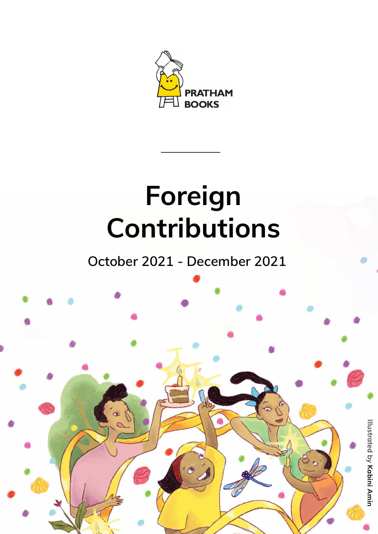

## **Foreign Contributions**

**October 2021 - December 2021** 

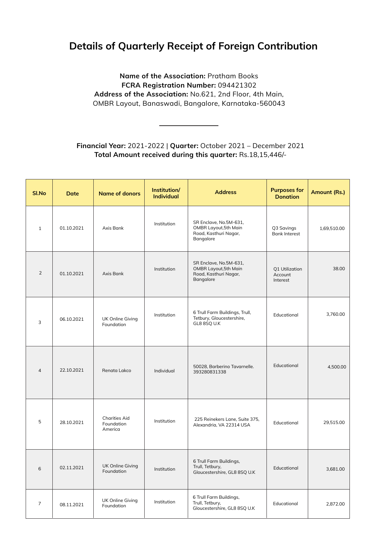## **Details of Quarterly Receipt of Foreign Contribution**

**Name of the Association:** Pratham Books **FCRA Registration Number:** 094421302 **Address of the Association:** No.621, 2nd Floor, 4th Main, OMBR Layout, Banaswadi, Bangalore, Karnataka-560043

**Financial Year:** 2021-2022 | **Quarter:** October 2021 – December 2021 **Total Amount received during this quarter:** Rs.18,15,446/-

| <b>SI.No</b>   | Date       | <b>Name of donors</b>                         | Institution/<br><b>Individual</b> | <b>Address</b>                                                                               | <b>Purposes for</b><br><b>Donation</b> | <b>Amount (Rs.)</b> |
|----------------|------------|-----------------------------------------------|-----------------------------------|----------------------------------------------------------------------------------------------|----------------------------------------|---------------------|
|                | 01.10.2021 | Axis Bank                                     | Institution                       | SR Enclave, No.5M-631,<br><b>OMBR Layout, 5th Main</b><br>Road, Kasthuri Nagar,<br>Bangalore | Q3 Savings<br><b>Bank Interest</b>     | 1,69,510.00         |
| $\overline{2}$ | 01.10.2021 | Axis Bank                                     | Institution                       | SR Enclave, No.5M-631,<br><b>OMBR Layout, 5th Main</b><br>Road, Kasthuri Nagar,<br>Bangalore | Q1 Utilization<br>Account<br>Interest  | 38.00               |
|                | 06.10.2021 | <b>UK Online Giving</b><br>Foundation         | Institution                       | 6 Trull Farm Buildings, Trull,<br>Tetbury, Gloucestershire,<br>GL8 8SQ U.K                   | Educational                            | 3,760.00            |
| $\overline{4}$ | 22.10.2021 | Renata Lakco                                  | Individual                        | 50028, Barberino Tavarnelle.<br>393280831338                                                 | Educational                            | 4,500.00            |
| 5              | 28.10.2021 | <b>Charities Aid</b><br>Foundation<br>America | Institution                       | 225 Reinekers Lane, Suite 375,<br>Alexandria, VA 22314 USA                                   | Educational                            | 29,515.00           |
| 6              | 02.11.2021 | <b>UK Online Giving</b><br>Foundation         | Institution                       | 6 Trull Farm Buildings,<br>Trull, Tetbury,<br>Gloucestershire, GL8 8SQ U.K                   | Educational                            | 3,681.00            |
|                | 08.11.2021 | <b>UK Online Giving</b><br>Foundation         | Institution                       | 6 Trull Farm Buildings,<br>Trull, Tetbury,<br>Gloucestershire, GL8 8SQ U.K                   | Educational                            | 2,872.00            |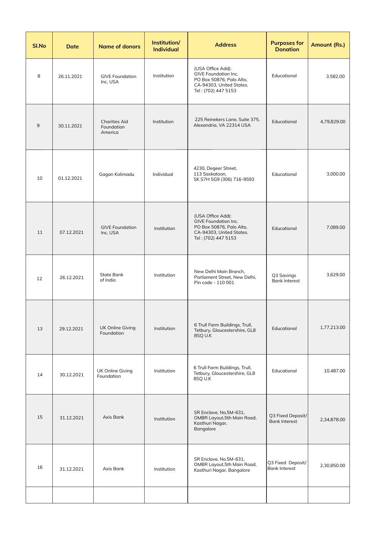| <b>SI.No</b> | Date       | <b>Name of donors</b>                         | Institution/<br><b>Individual</b> | <b>Address</b>                                                                                                                  | <b>Purposes for</b><br><b>Donation</b>     | Amount (Rs.) |
|--------------|------------|-----------------------------------------------|-----------------------------------|---------------------------------------------------------------------------------------------------------------------------------|--------------------------------------------|--------------|
| 8            | 26.11.2021 | <b>GIVE Foundation</b><br>Inc, USA            | Institution                       | (USA Office Add):<br><b>GIVE Foundation Inc.</b><br>PO Box 50876, Palo Alto,<br>CA-94303, United States.<br>Tel: (702) 447 5153 | Educational                                | 3,582.00     |
| 9            | 30.11.2021 | <b>Charities Aid</b><br>Foundation<br>America | Institution                       | 225 Reinekers Lane, Suite 375,<br>Alexandria, VA 22314 USA                                                                      | Educational                                | 4,79,829.00  |
| 10           | 01.12.2021 | Gagan Kolimadu                                | Individual                        | 4230, Degeer Street,<br>113 Saskatoon,<br>SK S7H 5G9 (306) 716-9593                                                             | Educational                                | 3,000.00     |
| 11           | 07.12.2021 | <b>GIVE Foundation</b><br>Inc, USA            | Institution                       | (USA Office Add):<br><b>GIVE Foundation Inc.</b><br>PO Box 50876, Palo Alto,<br>CA-94303, United States.<br>Tel: (702) 447 5153 | Educational                                | 7,089.00     |
| 12           | 26.12.2021 | <b>State Bank</b><br>of India                 | Institution                       | New Delhi Main Branch,<br>Parliament Street, New Delhi,<br>Pin code - 110 001                                                   | Q3 Savings<br><b>Bank Interest</b>         | 3,629.00     |
| 13           | 29.12.2021 | <b>UK Online Giving</b><br>Foundation         | Institution                       | 6 Trull Farm Buildings, Trull,<br>Tetbury, Gloucestershire, GL8<br>8SQ U.K                                                      | Educational                                | 1,77,213.00  |
| 14           | 30.12.2021 | <b>UK Online Giving</b><br>۔ پ<br>Foundation  | Institution                       | 6 Trull Farm Buildings, Trull,<br>Tetbury, Gloucestershire, GL8<br>8SQ U.K                                                      | Educational                                | 10,487.00    |
| 15           | 31.12.2021 | <b>Axis Bank</b>                              | Institution                       | SR Enclave, No.5M-631,<br><b>OMBR Layout, 5th Main Road,</b><br>Kasthuri Nagar,<br>Bangalore                                    | Q3 Fixed Deposit/<br><b>Bank Interest</b>  | 2,34,878.00  |
| 16           | 31.12.2021 | <b>Axis Bank</b>                              | Institution                       | SR Enclave, No.5M-631,<br><b>OMBR Layout, 5th Main Road,</b><br>Kasthuri Nagar, Bangalore                                       | Q3 Fixed Deposit/ <br><b>Bank Interest</b> | 2,30,850.00  |
|              |            |                                               |                                   |                                                                                                                                 |                                            |              |